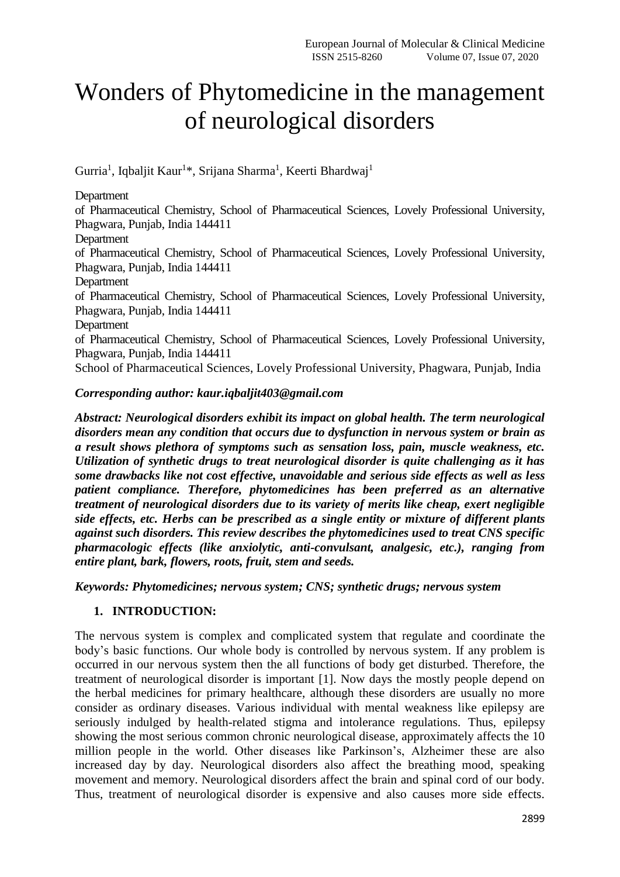# Wonders of Phytomedicine in the management of neurological disorders

Gurria<sup>1</sup>, Iqbaljit Kaur<sup>1\*</sup>, Srijana Sharma<sup>1</sup>, Keerti Bhardwaj<sup>1</sup>

Department

of Pharmaceutical Chemistry, School of Pharmaceutical Sciences, Lovely Professional University, Phagwara, Punjab, India 144411

Department

of Pharmaceutical Chemistry, School of Pharmaceutical Sciences, Lovely Professional University, Phagwara, Punjab, India 144411

Department

of Pharmaceutical Chemistry, School of Pharmaceutical Sciences, Lovely Professional University, Phagwara, Punjab, India 144411

Department

of Pharmaceutical Chemistry, School of Pharmaceutical Sciences, Lovely Professional University, Phagwara, Punjab, India 144411

School of Pharmaceutical Sciences, Lovely Professional University, Phagwara, Punjab, India

#### *Corresponding author: kaur.iqbaljit403@gmail.com*

*Abstract: Neurological disorders exhibit its impact on global health. The term neurological disorders mean any condition that occurs due to dysfunction in nervous system or brain as a result shows plethora of symptoms such as sensation loss, pain, muscle weakness, etc. Utilization of synthetic drugs to treat neurological disorder is quite challenging as it has some drawbacks like not cost effective, unavoidable and serious side effects as well as less patient compliance. Therefore, phytomedicines has been preferred as an alternative treatment of neurological disorders due to its variety of merits like cheap, exert negligible side effects, etc. Herbs can be prescribed as a single entity or mixture of different plants against such disorders. This review describes the phytomedicines used to treat CNS specific pharmacologic effects (like anxiolytic, anti-convulsant, analgesic, etc.), ranging from entire plant, bark, flowers, roots, fruit, stem and seeds.*

*Keywords: Phytomedicines; nervous system; CNS; synthetic drugs; nervous system*

#### **1. INTRODUCTION:**

The nervous system is complex and complicated system that regulate and coordinate the body's basic functions. Our whole body is controlled by nervous system. If any problem is occurred in our nervous system then the all functions of body get disturbed. Therefore, the treatment of neurological disorder is important [1]. Now days the mostly people depend on the herbal medicines for primary healthcare, although these disorders are usually no more consider as ordinary diseases. Various individual with mental weakness like epilepsy are seriously indulged by health-related stigma and intolerance regulations. Thus, epilepsy showing the most serious common chronic neurological disease, approximately affects the 10 million people in the world. Other diseases like Parkinson's, Alzheimer these are also increased day by day. Neurological disorders also affect the breathing mood, speaking movement and memory. Neurological disorders affect the brain and spinal cord of our body. Thus, treatment of neurological disorder is expensive and also causes more side effects.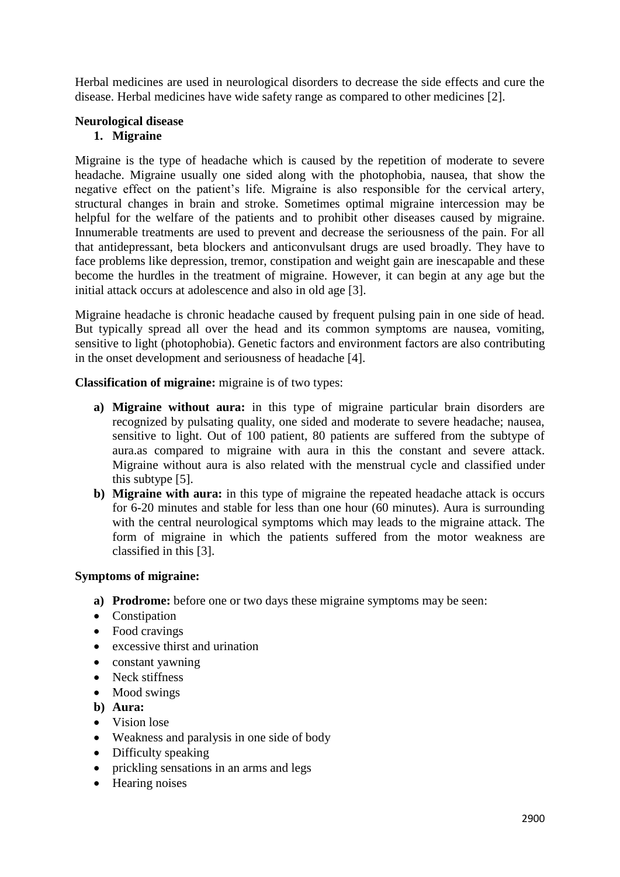Herbal medicines are used in neurological disorders to decrease the side effects and cure the disease. Herbal medicines have wide safety range as compared to other medicines [2].

#### **Neurological disease**

#### **1. Migraine**

Migraine is the type of headache which is caused by the repetition of moderate to severe headache. Migraine usually one sided along with the photophobia, nausea, that show the negative effect on the patient's life. Migraine is also responsible for the cervical artery, structural changes in brain and stroke. Sometimes optimal migraine intercession may be helpful for the welfare of the patients and to prohibit other diseases caused by migraine. Innumerable treatments are used to prevent and decrease the seriousness of the pain. For all that antidepressant, beta blockers and anticonvulsant drugs are used broadly. They have to face problems like depression, tremor, constipation and weight gain are inescapable and these become the hurdles in the treatment of migraine. However, it can begin at any age but the initial attack occurs at adolescence and also in old age [3].

Migraine headache is chronic headache caused by frequent pulsing pain in one side of head. But typically spread all over the head and its common symptoms are nausea, vomiting, sensitive to light (photophobia). Genetic factors and environment factors are also contributing in the onset development and seriousness of headache [4].

**Classification of migraine:** migraine is of two types:

- **a) Migraine without aura:** in this type of migraine particular brain disorders are recognized by pulsating quality, one sided and moderate to severe headache; nausea, sensitive to light. Out of 100 patient, 80 patients are suffered from the subtype of aura.as compared to migraine with aura in this the constant and severe attack. Migraine without aura is also related with the menstrual cycle and classified under this subtype [5].
- **b) Migraine with aura:** in this type of migraine the repeated headache attack is occurs for 6-20 minutes and stable for less than one hour (60 minutes). Aura is surrounding with the central neurological symptoms which may leads to the migraine attack. The form of migraine in which the patients suffered from the motor weakness are classified in this [3].

#### **Symptoms of migraine:**

- **a) Prodrome:** before one or two days these migraine symptoms may be seen:
- Constipation
- Food cravings
- excessive thirst and urination
- constant yawning
- Neck stiffness
- Mood swings
- **b) Aura:**
- Vision lose
- Weakness and paralysis in one side of body
- Difficulty speaking
- prickling sensations in an arms and legs
- Hearing noises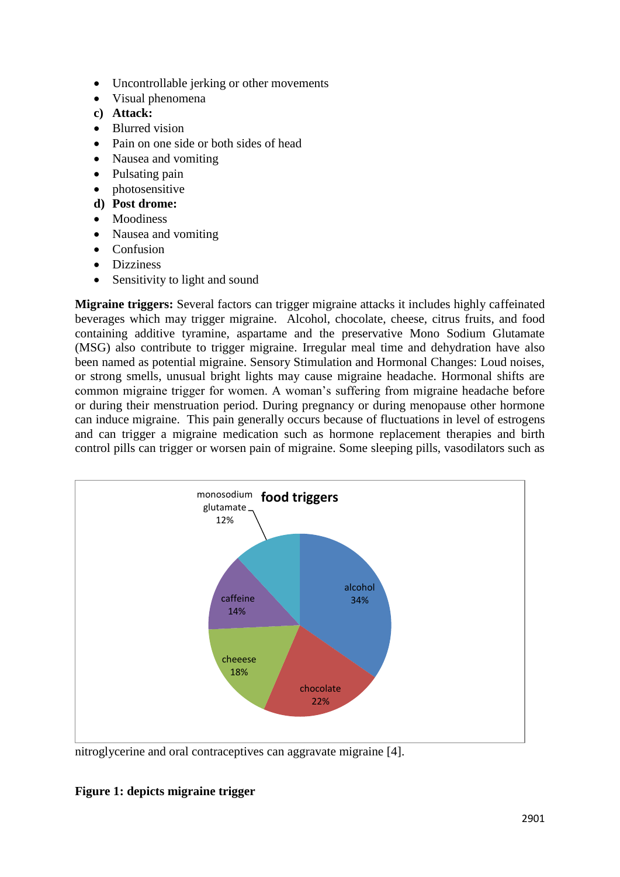- Uncontrollable jerking or other movements
- Visual phenomena
- **c) Attack:**
- Blurred vision
- Pain on one side or both sides of head
- Nausea and vomiting
- Pulsating pain
- photosensitive
- **d) Post drome:**
- Moodiness
- Nausea and vomiting
- Confusion
- **•** Dizziness
- Sensitivity to light and sound

**Migraine triggers:** Several factors can trigger migraine attacks it includes highly caffeinated beverages which may trigger migraine. Alcohol, chocolate, cheese, citrus fruits, and food containing additive tyramine, aspartame and the preservative Mono Sodium Glutamate (MSG) also contribute to trigger migraine. Irregular meal time and dehydration have also been named as potential migraine. Sensory Stimulation and Hormonal Changes: Loud noises, or strong smells, unusual bright lights may cause migraine headache. Hormonal shifts are common migraine trigger for women. A woman's suffering from migraine headache before or during their menstruation period. During pregnancy or during menopause other hormone can induce migraine. This pain generally occurs because of fluctuations in level of estrogens and can trigger a migraine medication such as hormone replacement therapies and birth control pills can trigger or worsen pain of migraine. Some sleeping pills, vasodilators such as



nitroglycerine and oral contraceptives can aggravate migraine [4].

# **Figure 1: depicts migraine trigger**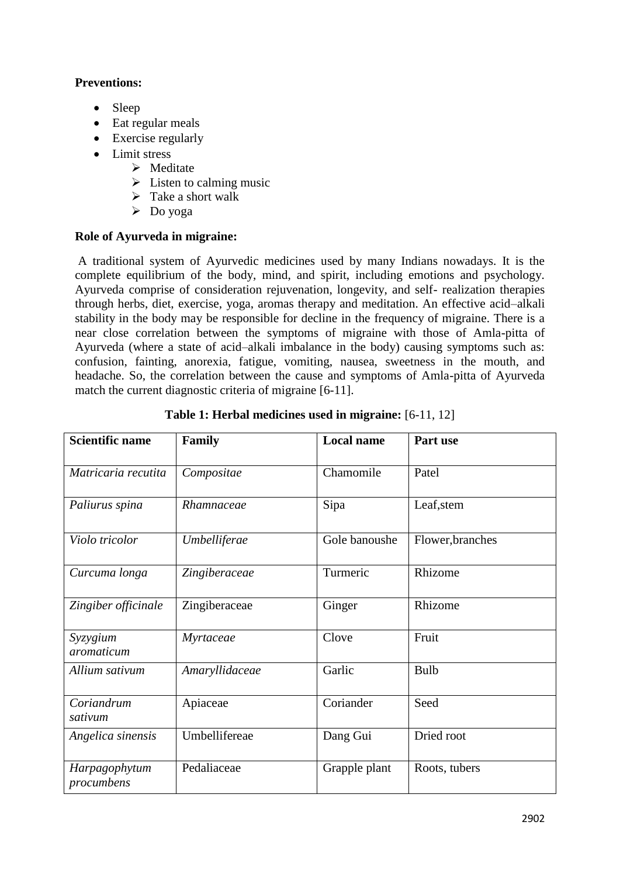# **Preventions:**

- Sleep
- Eat regular meals
- Exercise regularly
- Limit stress
	- $\triangleright$  Meditate
	- $\triangleright$  Listen to calming music
	- $\triangleright$  Take a short walk
	- $\triangleright$  Do yoga

# **Role of Ayurveda in migraine:**

A traditional system of Ayurvedic medicines used by many Indians nowadays. It is the complete equilibrium of the body, mind, and spirit, including emotions and psychology. Ayurveda comprise of consideration rejuvenation, longevity, and self- realization therapies through herbs, diet, exercise, yoga, aromas therapy and meditation. An effective acid–alkali stability in the body may be responsible for decline in the frequency of migraine. There is a near close correlation between the symptoms of migraine with those of Amla-pitta of Ayurveda (where a state of acid–alkali imbalance in the body) causing symptoms such as: confusion, fainting, anorexia, fatigue, vomiting, nausea, sweetness in the mouth, and headache. So, the correlation between the cause and symptoms of Amla-pitta of Ayurveda match the current diagnostic criteria of migraine [6-11].

| <b>Scientific name</b>      | Family         | <b>Local name</b> | Part use         |
|-----------------------------|----------------|-------------------|------------------|
| Matricaria recutita         | Compositae     | Chamomile         | Patel            |
| Paliurus spina              | Rhamnaceae     | Sipa              | Leaf, stem       |
| Violo tricolor              | Umbelliferae   | Gole banoushe     | Flower, branches |
| Curcuma longa               | Zingiberaceae  | Turmeric          | Rhizome          |
| Zingiber officinale         | Zingiberaceae  | Ginger            | Rhizome          |
| Syzygium<br>aromaticum      | Myrtaceae      | Clove             | Fruit            |
| Allium sativum              | Amaryllidaceae | Garlic            | Bulb             |
| Coriandrum<br>sativum       | Apiaceae       | Coriander         | Seed             |
| Angelica sinensis           | Umbellifereae  | Dang Gui          | Dried root       |
| Harpagophytum<br>procumbens | Pedaliaceae    | Grapple plant     | Roots, tubers    |

|  | <b>Table 1: Herbal medicines used in migraine:</b> [6-11, 12] |  |  |
|--|---------------------------------------------------------------|--|--|
|  |                                                               |  |  |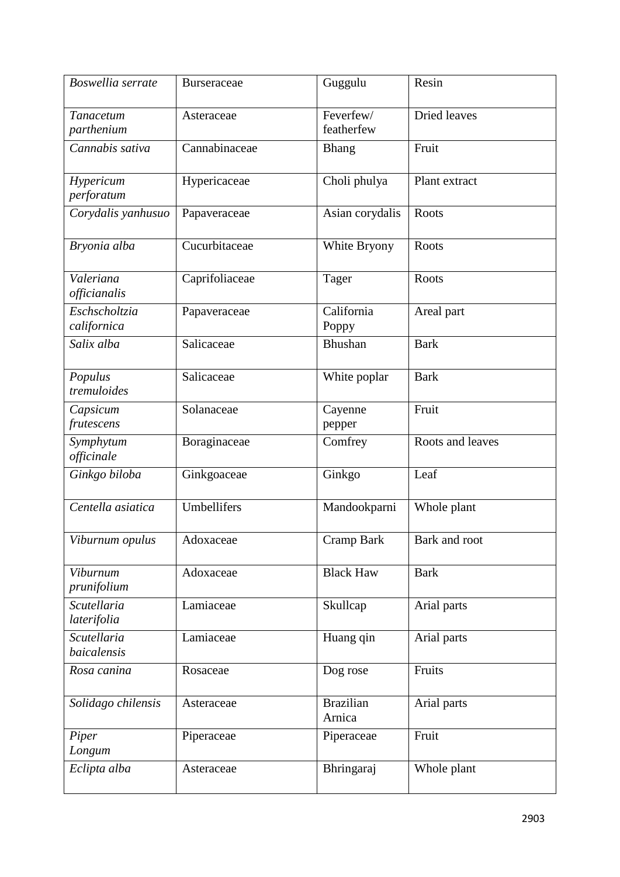| $\overline{B}$ oswellia serrate   | <b>Burseraceae</b> | Guggulu                    | Resin            |
|-----------------------------------|--------------------|----------------------------|------------------|
| Tanacetum<br>parthenium           | Asteraceae         | Feverfew/<br>featherfew    | Dried leaves     |
| Cannabis sativa                   | Cannabinaceae      | <b>Bhang</b>               | Fruit            |
| Hypericum<br>perforatum           | Hypericaceae       | Choli phulya               | Plant extract    |
| Corydalis yanhusuo                | Papaveraceae       | Asian corydalis            | Roots            |
| Bryonia alba                      | Cucurbitaceae      | White Bryony               | Roots            |
| Valeriana<br>officianalis         | Caprifoliaceae     | Tager                      | Roots            |
| Eschscholtzia<br>californica      | Papaveraceae       | California<br>Poppy        | Areal part       |
| Salix alba                        | Salicaceae         | Bhushan                    | <b>Bark</b>      |
| Populus<br>tremuloides            | Salicaceae         | White poplar               | <b>Bark</b>      |
| Capsicum<br>frutescens            | Solanaceae         | Cayenne<br>pepper          | Fruit            |
| Symphytum<br>officinale           | Boraginaceae       | Comfrey                    | Roots and leaves |
| Ginkgo biloba                     | Ginkgoaceae        | Ginkgo                     | Leaf             |
| Centella asiatica                 | Umbellifers        | Mandookparni               | Whole plant      |
| Viburnum opulus                   | Adoxaceae          | Cramp Bark                 | Bark and root    |
| Viburnum<br>prunifolium           | Adoxaceae          | <b>Black Haw</b>           | <b>Bark</b>      |
| <b>Scutellaria</b><br>laterifolia | Lamiaceae          | Skullcap                   | Arial parts      |
| Scutellaria<br>baicalensis        | Lamiaceae          | Huang qin                  | Arial parts      |
| Rosa canina                       | Rosaceae           | Dog rose                   | Fruits           |
| Solidago chilensis                | Asteraceae         | <b>Brazilian</b><br>Arnica | Arial parts      |
| Piper<br>Longum                   | Piperaceae         | Piperaceae                 | Fruit            |
| Eclipta alba                      | Asteraceae         | Bhringaraj                 | Whole plant      |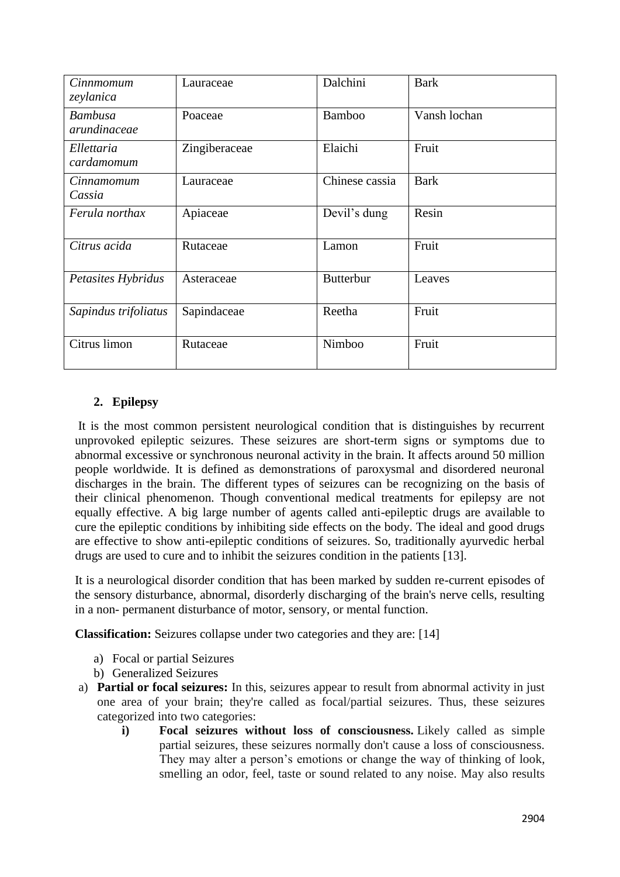| Cinnmomum<br>zeylanica         | Lauraceae     | Dalchini         | <b>Bark</b>  |
|--------------------------------|---------------|------------------|--------------|
| <b>Bambusa</b><br>arundinaceae | Poaceae       | <b>Bamboo</b>    | Vansh lochan |
| Ellettaria<br>cardamomum       | Zingiberaceae | Elaichi          | Fruit        |
| Cinnamomum<br>Cassia           | Lauraceae     | Chinese cassia   | <b>Bark</b>  |
| Ferula northax                 | Apiaceae      | Devil's dung     | Resin        |
| Citrus acida                   | Rutaceae      | Lamon            | Fruit        |
| Petasites Hybridus             | Asteraceae    | <b>Butterbur</b> | Leaves       |
| Sapindus trifoliatus           | Sapindaceae   | Reetha           | Fruit        |
| Citrus limon                   | Rutaceae      | Nimboo           | Fruit        |

# **2. Epilepsy**

It is the most common persistent neurological condition that is distinguishes by recurrent unprovoked epileptic seizures. These seizures are short-term signs or symptoms due to abnormal excessive or synchronous neuronal activity in the brain. It affects around 50 million people worldwide. It is defined as demonstrations of paroxysmal and disordered neuronal discharges in the brain. The different types of seizures can be recognizing on the basis of their clinical phenomenon. Though conventional medical treatments for epilepsy are not equally effective. A big large number of agents called anti-epileptic drugs are available to cure the epileptic conditions by inhibiting side effects on the body. The ideal and good drugs are effective to show anti-epileptic conditions of seizures. So, traditionally ayurvedic herbal drugs are used to cure and to inhibit the seizures condition in the patients [13].

It is a neurological disorder condition that has been marked by sudden re-current episodes of the sensory disturbance, abnormal, disorderly discharging of the brain's nerve cells, resulting in a non- permanent disturbance of motor, sensory, or mental function.

**Classification:** Seizures collapse under two categories and they are: [14]

- a) Focal or partial Seizures
- b) Generalized Seizures
- a) **Partial or focal seizures:** In this, seizures appear to result from abnormal activity in just one area of your brain; they're called as focal/partial seizures. Thus, these seizures categorized into two categories:
	- **i) Focal seizures without loss of consciousness.** Likely called as simple partial seizures, these seizures normally don't cause a loss of consciousness. They may alter a person's emotions or change the way of thinking of look, smelling an odor, feel, taste or sound related to any noise. May also results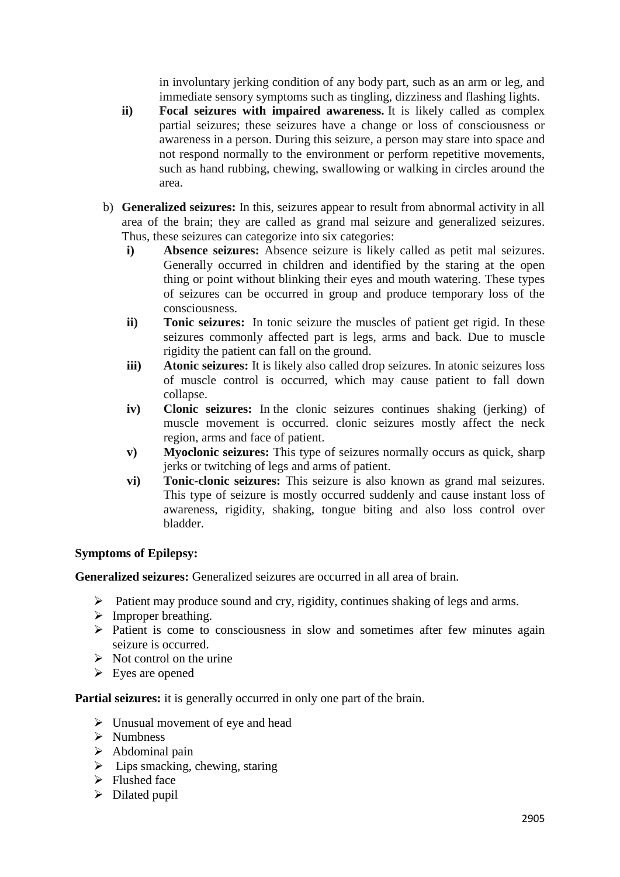in involuntary jerking condition of any body part, such as an arm or leg, and immediate sensory symptoms such as tingling, dizziness and flashing lights.

- **ii) Focal seizures with impaired awareness.** It is likely called as complex partial seizures; these seizures have a change or loss of consciousness or awareness in a person. During this seizure, a person may stare into space and not respond normally to the environment or perform repetitive movements, such as hand rubbing, chewing, swallowing or walking in circles around the area.
- b) **Generalized seizures:** In this, seizures appear to result from abnormal activity in all area of the brain; they are called as grand mal seizure and generalized seizures. Thus, these seizures can categorize into six categories:
	- **i) Absence seizures:** Absence seizure is likely called as petit mal seizures. Generally occurred in children and identified by the staring at the open thing or point without blinking their eyes and mouth watering. These types of seizures can be occurred in group and produce temporary loss of the consciousness.
	- **ii) Tonic seizures:** In tonic seizure the muscles of patient get rigid. In these seizures commonly affected part is legs, arms and back. Due to muscle rigidity the patient can fall on the ground.
	- **iii) Atonic seizures:** It is likely also called drop seizures. In atonic seizures loss of muscle control is occurred, which may cause patient to fall down collapse.
	- **iv) Clonic seizures:** In the clonic seizures continues shaking (jerking) of muscle movement is occurred. clonic seizures mostly affect the neck region, arms and face of patient.
	- **v) Myoclonic seizures:** This type of seizures normally occurs as quick, sharp jerks or twitching of legs and arms of patient.
	- **vi) Tonic-clonic seizures:** This seizure is also known as grand mal seizures. This type of seizure is mostly occurred suddenly and cause instant loss of awareness, rigidity, shaking, tongue biting and also loss control over bladder.

# **Symptoms of Epilepsy:**

**Generalized seizures:** Generalized seizures are occurred in all area of brain.

- $\triangleright$  Patient may produce sound and cry, rigidity, continues shaking of legs and arms.
- $\triangleright$  Improper breathing.
- $\triangleright$  Patient is come to consciousness in slow and sometimes after few minutes again seizure is occurred.
- $\triangleright$  Not control on the urine
- $\triangleright$  Eyes are opened

**Partial seizures:** it is generally occurred in only one part of the brain.

- $\triangleright$  Unusual movement of eye and head
- $\triangleright$  Numbness
- $\triangleright$  Abdominal pain
- $\triangleright$  Lips smacking, chewing, staring
- $\triangleright$  Flushed face
- $\triangleright$  Dilated pupil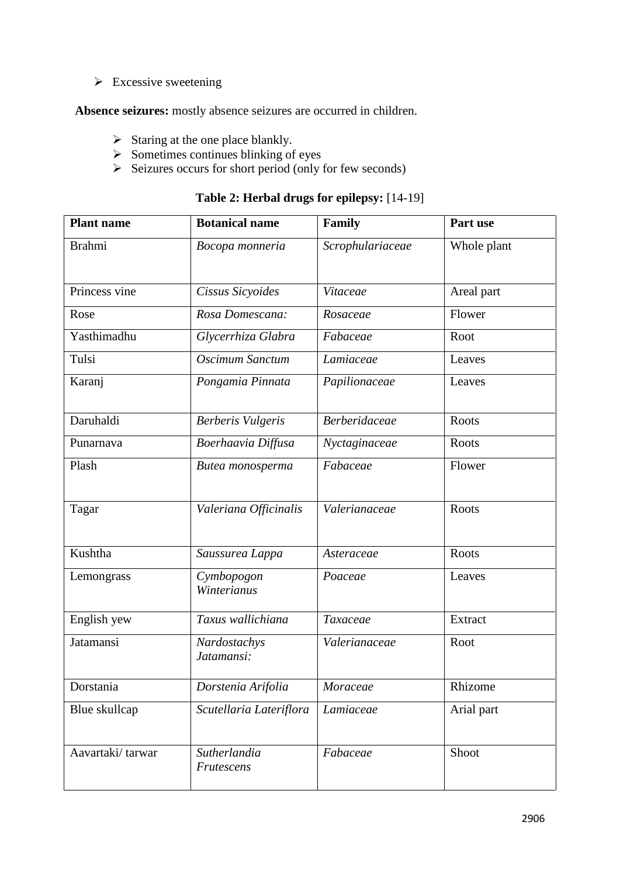$\triangleright$  Excessive sweetening

**Absence seizures:** mostly absence seizures are occurred in children.

- $\triangleright$  Staring at the one place blankly.
- $\triangleright$  Sometimes continues blinking of eyes
- $\triangleright$  Seizures occurs for short period (only for few seconds)

|  |  | Table 2: Herbal drugs for epilepsy: [14-19] |  |
|--|--|---------------------------------------------|--|
|--|--|---------------------------------------------|--|

| <b>Plant name</b> | <b>Botanical name</b>      | Family               | Part use     |
|-------------------|----------------------------|----------------------|--------------|
| <b>Brahmi</b>     | Bocopa monneria            | Scrophulariaceae     | Whole plant  |
| Princess vine     | Cissus Sicyoides           | Vitaceae             | Areal part   |
| Rose              | Rosa Domescana:            | Rosaceae             | Flower       |
| Yasthimadhu       | Glycerrhiza Glabra         | Fabaceae             | Root         |
| Tulsi             | Oscimum Sanctum            | Lamiaceae            | Leaves       |
| Karanj            | Pongamia Pinnata           | Papilionaceae        | Leaves       |
| Daruhaldi         | <b>Berberis Vulgeris</b>   | <b>Berberidaceae</b> | <b>Roots</b> |
| Punarnava         | Boerhaavia Diffusa         | Nyctaginaceae        | Roots        |
| Plash             | Butea monosperma           | Fabaceae             | Flower       |
| Tagar             | Valeriana Officinalis      | Valerianaceae        | <b>Roots</b> |
| Kushtha           | Saussurea Lappa            | Asteraceae           | Roots        |
| Lemongrass        | Cymbopogon<br>Winterianus  | Poaceae              | Leaves       |
| English yew       | Taxus wallichiana          | Taxaceae             | Extract      |
| Jatamansi         | Nardostachys<br>Jatamansi: | Valerianaceae        | Root         |
| Dorstania         | Dorstenia Arifolia         | Moraceae             | Rhizome      |
| Blue skullcap     | Scutellaria Lateriflora    | Lamiaceae            | Arial part   |
| Aavartaki/tarwar  | Sutherlandia<br>Frutescens | Fabaceae             | Shoot        |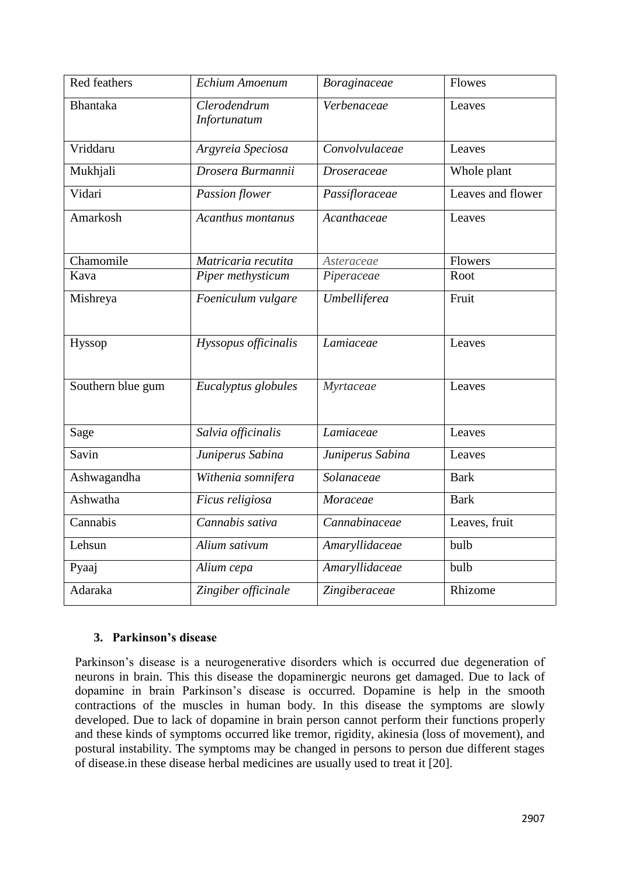| <b>Red feathers</b> | Echium Amoenum               | Boraginaceae                     | Flowes            |
|---------------------|------------------------------|----------------------------------|-------------------|
| <b>Bhantaka</b>     | Clerodendrum<br>Infortunatum | Verbenaceae                      | Leaves            |
| Vriddaru            | Argyreia Speciosa            | Convolvulaceae                   | Leaves            |
| Mukhjali            | Drosera Burmannii            | <b>Droseraceae</b>               | Whole plant       |
| Vidari              | <b>Passion flower</b>        | Passifloraceae                   | Leaves and flower |
| Amarkosh            | Acanthus montanus            | $\overline{A}$ <i>canthaceae</i> | Leaves            |
| Chamomile           | Matricaria recutita          | Asteraceae                       | Flowers           |
| Kava                | Piper methysticum            | Piperaceae                       | Root              |
| Mishreya            | Foeniculum vulgare           | Umbelliferea                     | Fruit             |
| Hyssop              | Hyssopus officinalis         | Lamiaceae                        | Leaves            |
| Southern blue gum   | Eucalyptus globules          | Myrtaceae                        | Leaves            |
| Sage                | Salvia officinalis           | Lamiaceae                        | Leaves            |
| Savin               | Juniperus Sabina             | Juniperus Sabina                 | Leaves            |
| Ashwagandha         | Withenia somnifera           | Solanaceae                       | <b>Bark</b>       |
| Ashwatha            | Ficus religiosa              | Moraceae                         | <b>Bark</b>       |
| Cannabis            | Cannabis sativa              | Cannabinaceae                    | Leaves, fruit     |
| Lehsun              | Alium sativum                | Amaryllidaceae                   | bulb              |
| Pyaaj               | Alium cepa                   | Amaryllidaceae                   | bulb              |
| Adaraka             | Zingiber officinale          | Zingiberaceae                    | Rhizome           |

# **3. Parkinson's disease**

Parkinson's disease is a neurogenerative disorders which is occurred due degeneration of neurons in brain. This this disease the dopaminergic neurons get damaged. Due to lack of dopamine in brain Parkinson's disease is occurred. Dopamine is help in the smooth contractions of the muscles in human body. In this disease the symptoms are slowly developed. Due to lack of dopamine in brain person cannot perform their functions properly and these kinds of symptoms occurred like tremor, rigidity, akinesia (loss of movement), and postural instability. The symptoms may be changed in persons to person due different stages of disease.in these disease herbal medicines are usually used to treat it [20].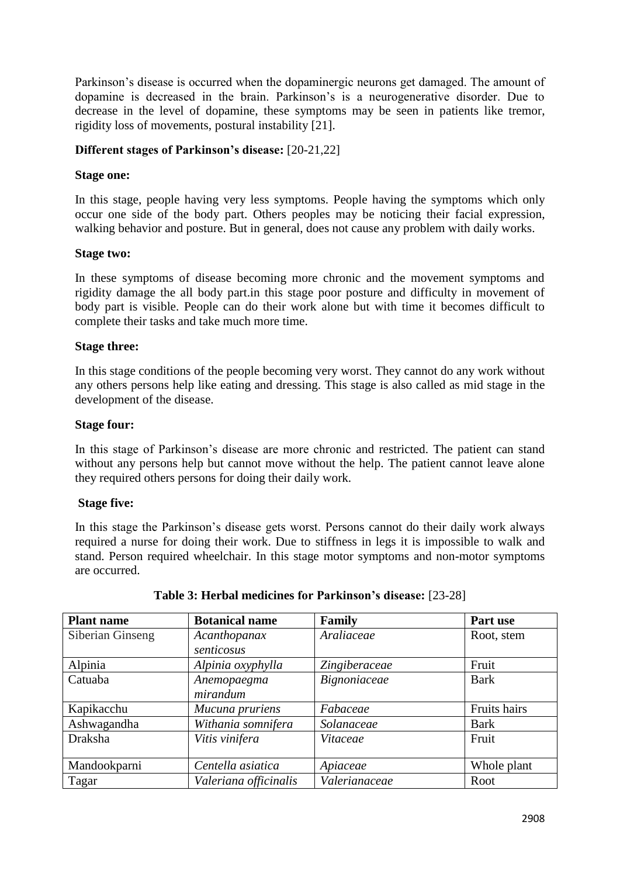Parkinson's disease is occurred when the dopaminergic neurons get damaged. The amount of dopamine is decreased in the brain. Parkinson's is a neurogenerative disorder. Due to decrease in the level of dopamine, these symptoms may be seen in patients like tremor, rigidity loss of movements, postural instability [21].

#### **Different stages of Parkinson's disease:** [20-21,22]

#### **Stage one:**

In this stage, people having very less symptoms. People having the symptoms which only occur one side of the body part. Others peoples may be noticing their facial expression, walking behavior and posture. But in general, does not cause any problem with daily works.

#### **Stage two:**

In these symptoms of disease becoming more chronic and the movement symptoms and rigidity damage the all body part.in this stage poor posture and difficulty in movement of body part is visible. People can do their work alone but with time it becomes difficult to complete their tasks and take much more time.

#### **Stage three:**

In this stage conditions of the people becoming very worst. They cannot do any work without any others persons help like eating and dressing. This stage is also called as mid stage in the development of the disease.

#### **Stage four:**

In this stage of Parkinson's disease are more chronic and restricted. The patient can stand without any persons help but cannot move without the help. The patient cannot leave alone they required others persons for doing their daily work.

#### **Stage five:**

In this stage the Parkinson's disease gets worst. Persons cannot do their daily work always required a nurse for doing their work. Due to stiffness in legs it is impossible to walk and stand. Person required wheelchair. In this stage motor symptoms and non-motor symptoms are occurred.

| <b>Plant name</b> | <b>Botanical name</b> | Family        | Part use     |
|-------------------|-----------------------|---------------|--------------|
| Siberian Ginseng  | Acanthopanax          | Araliaceae    | Root, stem   |
|                   | senticosus            |               |              |
| Alpinia           | Alpinia oxyphylla     | Zingiberaceae | Fruit        |
| Catuaba           | Anemopaegma           | Bignoniaceae  | <b>Bark</b>  |
|                   | mirandum              |               |              |
| Kapikacchu        | Mucuna pruriens       | Fabaceae      | Fruits hairs |
| Ashwagandha       | Withania somnifera    | Solanaceae    | <b>Bark</b>  |
| <b>Draksha</b>    | Vitis vinifera        | Vitaceae      | Fruit        |
|                   |                       |               |              |
| Mandookparni      | Centella asiatica     | Apiaceae      | Whole plant  |
| Tagar             | Valeriana officinalis | Valerianaceae | Root         |

#### **Table 3: Herbal medicines for Parkinson's disease:** [23-28]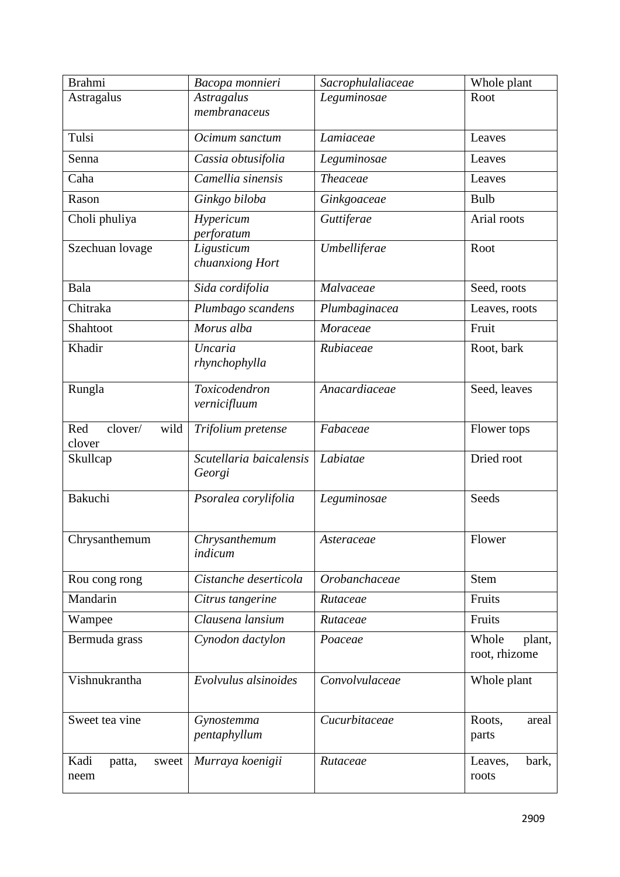| <b>Brahmi</b>                    | Bacopa monnieri                   | Sacrophulaliaceae | Whole plant                      |
|----------------------------------|-----------------------------------|-------------------|----------------------------------|
| Astragalus                       | <b>Astragalus</b><br>membranaceus | Leguminosae       | Root                             |
| Tulsi                            | Ocimum sanctum                    | Lamiaceae         | Leaves                           |
| Senna                            | Cassia obtusifolia                | Leguminosae       | Leaves                           |
| Caha                             | Camellia sinensis                 | <b>Theaceae</b>   | Leaves                           |
| Rason                            | Ginkgo biloba                     | Ginkgoaceae       | <b>Bulb</b>                      |
| Choli phuliya                    | Hypericum<br>perforatum           | Guttiferae        | Arial roots                      |
| Szechuan lovage                  | Ligusticum<br>chuanxiong Hort     | Umbelliferae      | Root                             |
| Bala                             | Sida cordifolia                   | Malvaceae         | Seed, roots                      |
| Chitraka                         | Plumbago scandens                 | Plumbaginacea     | Leaves, roots                    |
| Shahtoot                         | Morus alba                        | Moraceae          | Fruit                            |
| Khadir                           | <b>Uncaria</b><br>rhynchophylla   | Rubiaceae         | Root, bark                       |
| Rungla                           | Toxicodendron<br>vernicifluum     | Anacardiaceae     | Seed, leaves                     |
| Red<br>wild<br>clover/<br>clover | Trifolium pretense                | Fabaceae          | Flower tops                      |
| Skullcap                         | Scutellaria baicalensis<br>Georgi | Labiatae          | Dried root                       |
| Bakuchi                          | Psoralea corylifolia              | Leguminosae       | Seeds                            |
| Chrysanthemum                    | Chrysanthemum<br>indicum          | Asteraceae        | Flower                           |
| Rou cong rong                    | Cistanche deserticola             | Orobanchaceae     | <b>Stem</b>                      |
| Mandarin                         | Citrus tangerine                  | Rutaceae          | Fruits                           |
| Wampee                           | Clausena lansium                  | Rutaceae          | Fruits                           |
| Bermuda grass                    | Cynodon dactylon                  | Poaceae           | Whole<br>plant,<br>root, rhizome |
| Vishnukrantha                    | Evolvulus alsinoides              | Convolvulaceae    | Whole plant                      |
| Sweet tea vine                   | Gynostemma<br>pentaphyllum        | Cucurbitaceae     | Roots,<br>areal<br>parts         |
| Kadi<br>patta,<br>sweet<br>neem  | Murraya koenigii                  | Rutaceae          | bark,<br>Leaves,<br>roots        |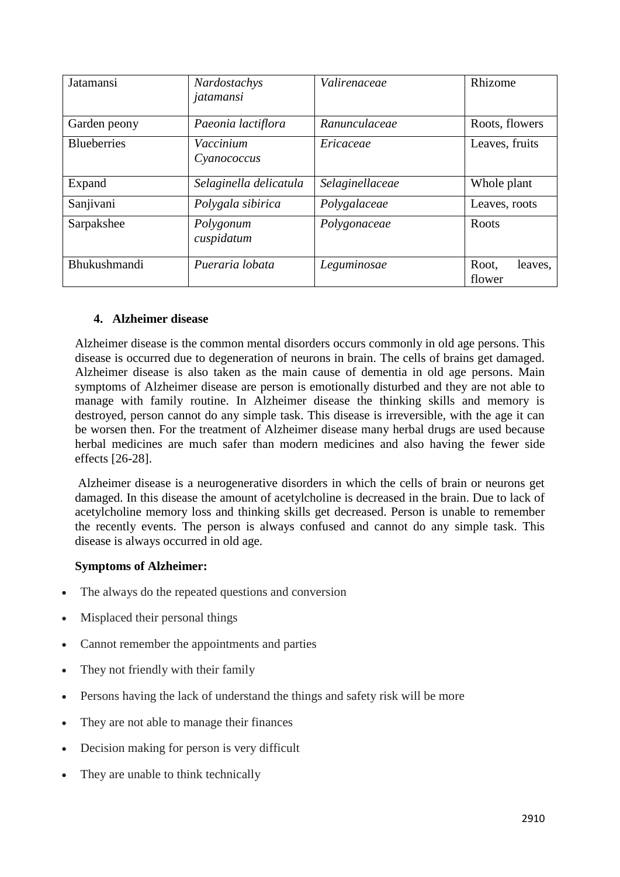| Jatamansi          | Nardostachys<br>jatamansi | Valirenaceae    | Rhizome                    |
|--------------------|---------------------------|-----------------|----------------------------|
| Garden peony       | Paeonia lactiflora        | Ranunculaceae   | Roots, flowers             |
| <b>Blueberries</b> | Vaccinium<br>Cyanococcus  | Ericaceae       | Leaves, fruits             |
| Expand             | Selaginella delicatula    | Selaginellaceae | Whole plant                |
| Sanjivani          | Polygala sibirica         | Polygalaceae    | Leaves, roots              |
| Sarpakshee         | Polygonum<br>cuspidatum   | Polygonaceae    | Roots                      |
| Bhukushmandi       | Pueraria lobata           | Leguminosae     | Root,<br>leaves,<br>flower |

#### **4. Alzheimer disease**

Alzheimer disease is the common mental disorders occurs commonly in old age persons. This disease is occurred due to degeneration of neurons in brain. The cells of brains get damaged. Alzheimer disease is also taken as the main cause of dementia in old age persons. Main symptoms of Alzheimer disease are person is emotionally disturbed and they are not able to manage with family routine. In Alzheimer disease the thinking skills and memory is destroyed, person cannot do any simple task. This disease is irreversible, with the age it can be worsen then. For the treatment of Alzheimer disease many herbal drugs are used because herbal medicines are much safer than modern medicines and also having the fewer side effects [26-28].

Alzheimer disease is a neurogenerative disorders in which the cells of brain or neurons get damaged. In this disease the amount of acetylcholine is decreased in the brain. Due to lack of acetylcholine memory loss and thinking skills get decreased. Person is unable to remember the recently events. The person is always confused and cannot do any simple task. This disease is always occurred in old age.

# **Symptoms of Alzheimer:**

- The always do the repeated questions and conversion
- Misplaced their personal things
- Cannot remember the appointments and parties
- They not friendly with their family
- Persons having the lack of understand the things and safety risk will be more
- They are not able to manage their finances
- Decision making for person is very difficult
- They are unable to think technically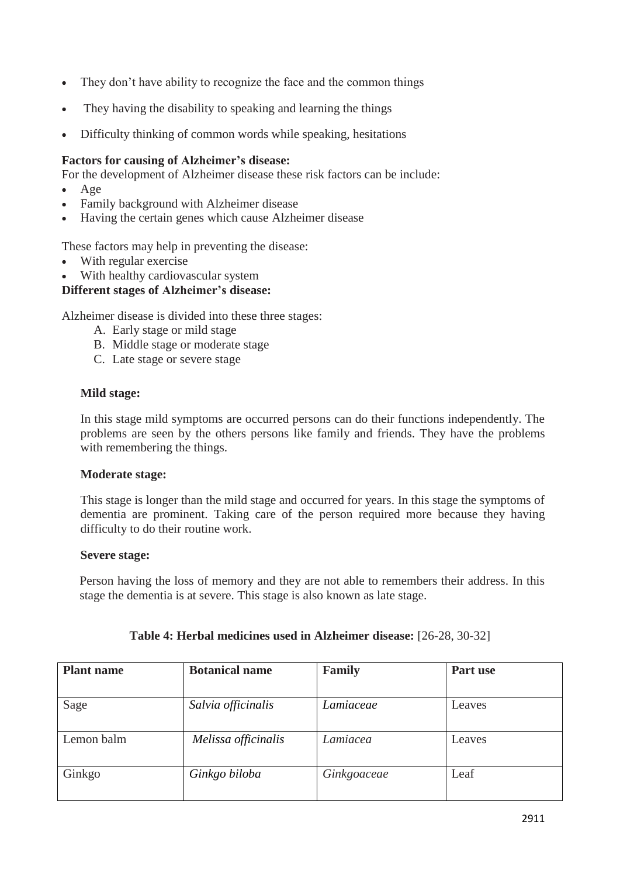- They don't have ability to recognize the face and the common things
- They having the disability to speaking and learning the things
- Difficulty thinking of common words while speaking, hesitations

#### **Factors for causing of Alzheimer's disease:**

For the development of Alzheimer disease these risk factors can be include:

- Age
- Family background with Alzheimer disease
- Having the certain genes which cause Alzheimer disease

These factors may help in preventing the disease:

- With regular exercise
- With healthy cardiovascular system

#### **Different stages of Alzheimer's disease:**

Alzheimer disease is divided into these three stages:

- A. Early stage or mild stage
- B. Middle stage or moderate stage
- C. Late stage or severe stage

#### **Mild stage:**

In this stage mild symptoms are occurred persons can do their functions independently. The problems are seen by the others persons like family and friends. They have the problems with remembering the things.

#### **Moderate stage:**

This stage is longer than the mild stage and occurred for years. In this stage the symptoms of dementia are prominent. Taking care of the person required more because they having difficulty to do their routine work.

#### **Severe stage:**

Person having the loss of memory and they are not able to remembers their address. In this stage the dementia is at severe. This stage is also known as late stage.

| <b>Plant name</b> | <b>Botanical name</b> | <b>Family</b> | Part use |
|-------------------|-----------------------|---------------|----------|
|                   |                       |               |          |
| Sage              | Salvia officinalis    | Lamiaceae     | Leaves   |
|                   |                       |               |          |
| Lemon balm        | Melissa officinalis   | Lamiacea      | Leaves   |
|                   |                       |               |          |
| Ginkgo            | Ginkgo biloba         | Ginkgoaceae   | Leaf     |
|                   |                       |               |          |

# **Table 4: Herbal medicines used in Alzheimer disease:** [26-28, 30-32]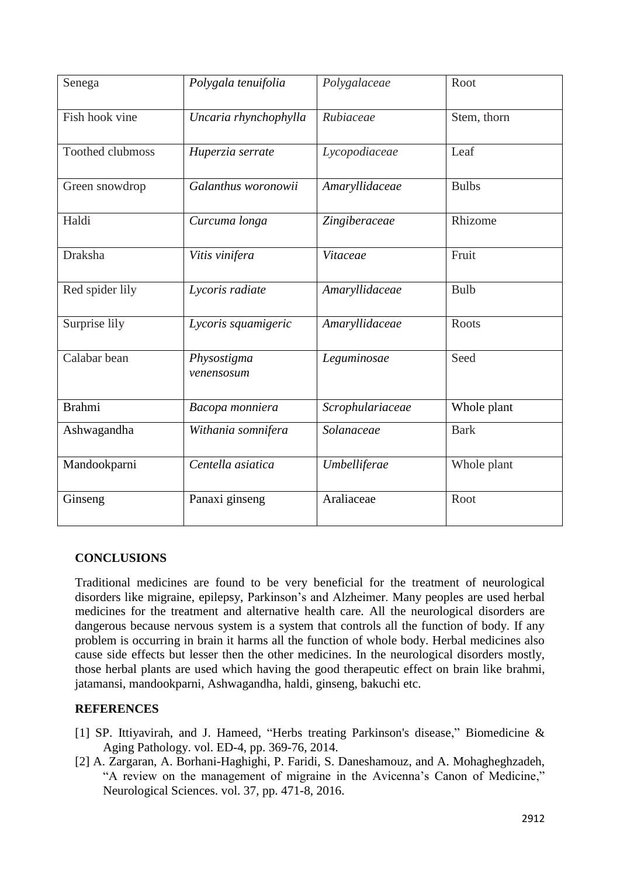| Senega                  | Polygala tenuifolia          | Polygalaceae     | Root         |
|-------------------------|------------------------------|------------------|--------------|
| Fish hook vine          | Uncaria rhynchophylla        | Rubiaceae        | Stem, thorn  |
| <b>Toothed clubmoss</b> | Huperzia serrate             | Lycopodiaceae    | Leaf         |
| Green snowdrop          | Galanthus woronowii          | Amaryllidaceae   | <b>Bulbs</b> |
| Haldi                   | Curcuma longa                | Zingiberaceae    | Rhizome      |
| Draksha                 | $\overline{V}$ itis vinifera | Vitaceae         | Fruit        |
| Red spider lily         | Lycoris radiate              | Amaryllidaceae   | <b>Bulb</b>  |
| Surprise lily           | Lycoris squamigeric          | Amaryllidaceae   | <b>Roots</b> |
| Calabar bean            | Physostigma<br>venensosum    | Leguminosae      | Seed         |
| <b>Brahmi</b>           | Bacopa monniera              | Scrophulariaceae | Whole plant  |
| Ashwagandha             | Withania somnifera           | Solanaceae       | <b>Bark</b>  |
| Mandookparni            | Centella asiatica            | Umbelliferae     | Whole plant  |
| Ginseng                 | Panaxi ginseng               | Araliaceae       | Root         |

#### **CONCLUSIONS**

Traditional medicines are found to be very beneficial for the treatment of neurological disorders like migraine, epilepsy, Parkinson's and Alzheimer. Many peoples are used herbal medicines for the treatment and alternative health care. All the neurological disorders are dangerous because nervous system is a system that controls all the function of body. If any problem is occurring in brain it harms all the function of whole body. Herbal medicines also cause side effects but lesser then the other medicines. In the neurological disorders mostly, those herbal plants are used which having the good therapeutic effect on brain like brahmi, jatamansi, mandookparni, Ashwagandha, haldi, ginseng, bakuchi etc.

# **REFERENCES**

- [1] SP. Ittiyavirah, and J. Hameed, "Herbs treating Parkinson's disease," Biomedicine & Aging Pathology. vol. ED-4, pp. 369-76, 2014.
- [2] A. Zargaran, A. Borhani-Haghighi, P. Faridi, S. Daneshamouz, and A. Mohagheghzadeh, "A review on the management of migraine in the Avicenna's Canon of Medicine," Neurological Sciences. vol. 37, pp. 471-8, 2016.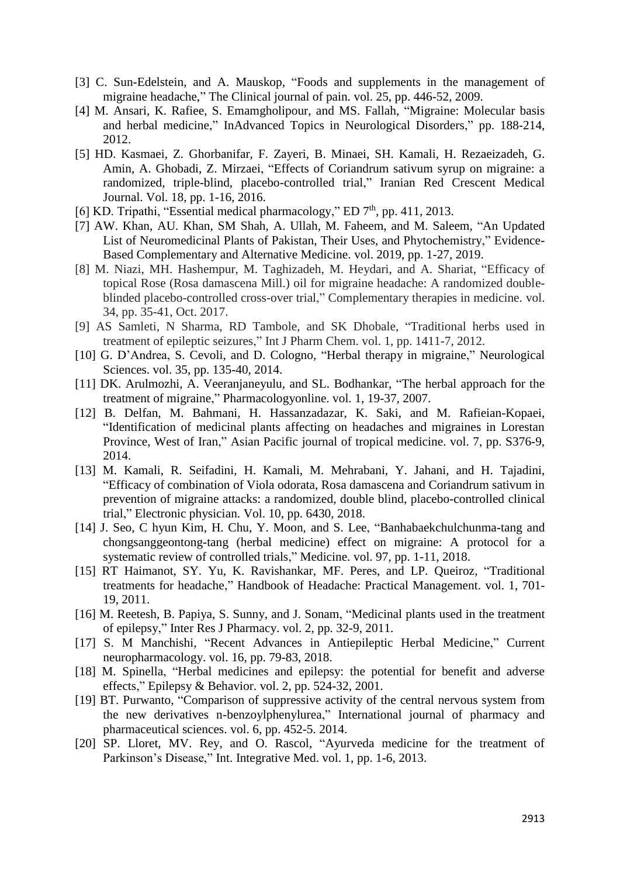- [3] C. Sun-Edelstein, and A. Mauskop, "Foods and supplements in the management of migraine headache," The Clinical journal of pain. vol. 25, pp. 446-52, 2009.
- [4] M. Ansari, K. Rafiee, S. Emamgholipour, and MS. Fallah, "Migraine: Molecular basis and herbal medicine," InAdvanced Topics in Neurological Disorders," pp. 188-214, 2012.
- [5] HD. Kasmaei, Z. Ghorbanifar, F. Zayeri, B. Minaei, SH. Kamali, H. Rezaeizadeh, G. Amin, A. Ghobadi, Z. Mirzaei, "Effects of Coriandrum sativum syrup on migraine: a randomized, triple-blind, placebo-controlled trial," Iranian Red Crescent Medical Journal. Vol. 18, pp. 1-16, 2016.
- [6] KD. Tripathi, "Essential medical pharmacology," ED  $7<sup>th</sup>$ , pp. 411, 2013.
- [7] AW. Khan, AU. Khan, SM Shah, A. Ullah, M. Faheem, and M. Saleem, "An Updated List of Neuromedicinal Plants of Pakistan, Their Uses, and Phytochemistry," Evidence-Based Complementary and Alternative Medicine. vol. 2019, pp. 1-27, 2019.
- [8] M. Niazi, MH. Hashempur, M. Taghizadeh, M. Heydari, and A. Shariat, "Efficacy of topical Rose (Rosa damascena Mill.) oil for migraine headache: A randomized doubleblinded placebo-controlled cross-over trial," Complementary therapies in medicine. vol. 34, pp. 35-41, Oct. 2017.
- [9] AS Samleti, N Sharma, RD Tambole, and SK Dhobale, "Traditional herbs used in treatment of epileptic seizures," Int J Pharm Chem. vol. 1, pp. 1411-7, 2012.
- [10] G. D'Andrea, S. Cevoli, and D. Cologno, "Herbal therapy in migraine," Neurological Sciences. vol. 35, pp. 135-40, 2014.
- [11] DK. Arulmozhi, A. Veeranjaneyulu, and SL. Bodhankar, "The herbal approach for the treatment of migraine," Pharmacologyonline. vol. 1, 19-37, 2007.
- [12] B. Delfan, M. Bahmani, H. Hassanzadazar, K. Saki, and M. Rafieian-Kopaei, "Identification of medicinal plants affecting on headaches and migraines in Lorestan Province, West of Iran," Asian Pacific journal of tropical medicine. vol. 7, pp. S376-9, 2014.
- [13] M. Kamali, R. Seifadini, H. Kamali, M. Mehrabani, Y. Jahani, and H. Tajadini, "Efficacy of combination of Viola odorata, Rosa damascena and Coriandrum sativum in prevention of migraine attacks: a randomized, double blind, placebo-controlled clinical trial," Electronic physician. Vol. 10, pp. 6430, 2018.
- [14] J. Seo, C hyun Kim, H. Chu, Y. Moon, and S. Lee, "Banhabaekchulchunma-tang and chongsanggeontong-tang (herbal medicine) effect on migraine: A protocol for a systematic review of controlled trials," Medicine. vol. 97, pp. 1-11, 2018.
- [15] RT Haimanot, SY. Yu, K. Ravishankar, MF. Peres, and LP. Queiroz, "Traditional treatments for headache," Handbook of Headache: Practical Management. vol. 1, 701- 19, 2011.
- [16] M. Reetesh, B. Papiya, S. Sunny, and J. Sonam, "Medicinal plants used in the treatment of epilepsy," Inter Res J Pharmacy. vol. 2, pp. 32-9, 2011.
- [17] S. M Manchishi, "Recent Advances in Antiepileptic Herbal Medicine," Current neuropharmacology. vol. 16, pp. 79-83, 2018.
- [18] M. Spinella, "Herbal medicines and epilepsy: the potential for benefit and adverse effects," Epilepsy & Behavior. vol. 2, pp. 524-32, 2001.
- [19] BT. Purwanto, "Comparison of suppressive activity of the central nervous system from the new derivatives n-benzoylphenylurea," International journal of pharmacy and pharmaceutical sciences. vol. 6, pp. 452-5. 2014.
- [20] SP. Lloret, MV. Rey, and O. Rascol, "Ayurveda medicine for the treatment of Parkinson's Disease," Int. Integrative Med. vol. 1, pp. 1-6, 2013.